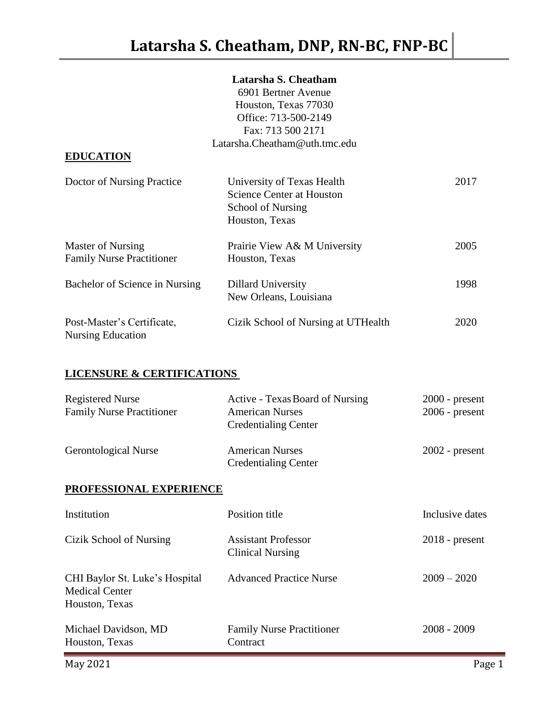# **Latarsha S. Cheatham**

|                                                        | 6901 Bertner Avenue                                                                                   |      |
|--------------------------------------------------------|-------------------------------------------------------------------------------------------------------|------|
|                                                        | Houston, Texas 77030                                                                                  |      |
|                                                        | Office: 713-500-2149                                                                                  |      |
|                                                        | Fax: 713 500 2171                                                                                     |      |
|                                                        | Latarsha.Cheatham@uth.tmc.edu                                                                         |      |
| <b>EDUCATION</b>                                       |                                                                                                       |      |
| Doctor of Nursing Practice                             | University of Texas Health<br><b>Science Center at Houston</b><br>School of Nursing<br>Houston, Texas | 2017 |
| Master of Nursing<br><b>Family Nurse Practitioner</b>  | Prairie View A& M University<br>Houston, Texas                                                        | 2005 |
| Bachelor of Science in Nursing                         | <b>Dillard University</b><br>New Orleans, Louisiana                                                   | 1998 |
| Post-Master's Certificate,<br><b>Nursing Education</b> | Cizik School of Nursing at UTHealth                                                                   | 2020 |

# **LICENSURE & CERTIFICATIONS**

| Registered Nurse<br><b>Family Nurse Practitioner</b> | <b>Active - Texas Board of Nursing</b><br><b>American Nurses</b><br><b>Credentialing Center</b> | $2000$ - present<br>$2006$ - present |
|------------------------------------------------------|-------------------------------------------------------------------------------------------------|--------------------------------------|
| <b>Gerontological Nurse</b>                          | <b>American Nurses</b><br><b>Credentialing Center</b>                                           | $2002$ - present                     |

# **PROFESSIONAL EXPERIENCE**

| Institution                                                               | Position title                                        | Inclusive dates  |
|---------------------------------------------------------------------------|-------------------------------------------------------|------------------|
| Cizik School of Nursing                                                   | <b>Assistant Professor</b><br><b>Clinical Nursing</b> | $2018$ - present |
| CHI Baylor St. Luke's Hospital<br><b>Medical Center</b><br>Houston, Texas | <b>Advanced Practice Nurse</b>                        | $2009 - 2020$    |
| Michael Davidson, MD<br>Houston, Texas                                    | <b>Family Nurse Practitioner</b><br>Contract          | $2008 - 2009$    |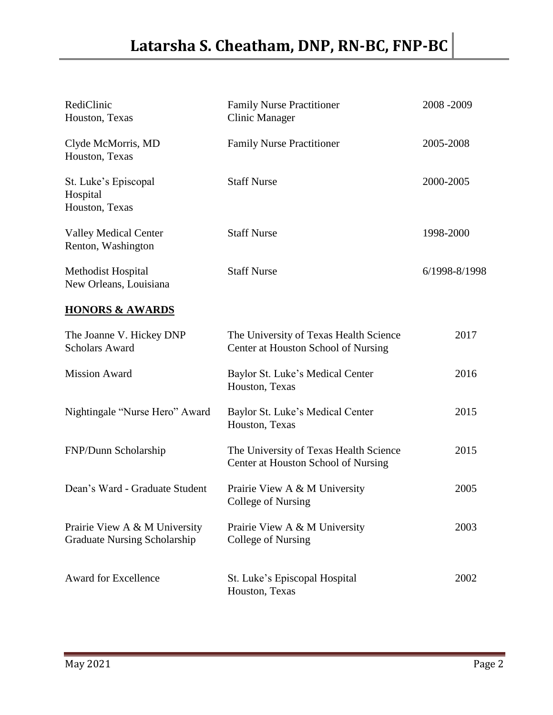| RediClinic<br>Houston, Texas                                         | <b>Family Nurse Practitioner</b><br><b>Clinic Manager</b>                     | 2008-2009     |
|----------------------------------------------------------------------|-------------------------------------------------------------------------------|---------------|
| Clyde McMorris, MD<br>Houston, Texas                                 | <b>Family Nurse Practitioner</b>                                              | 2005-2008     |
| St. Luke's Episcopal<br>Hospital<br>Houston, Texas                   | <b>Staff Nurse</b>                                                            | 2000-2005     |
| <b>Valley Medical Center</b><br>Renton, Washington                   | <b>Staff Nurse</b>                                                            | 1998-2000     |
| Methodist Hospital<br>New Orleans, Louisiana                         | <b>Staff Nurse</b>                                                            | 6/1998-8/1998 |
| <b>HONORS &amp; AWARDS</b>                                           |                                                                               |               |
| The Joanne V. Hickey DNP<br><b>Scholars Award</b>                    | The University of Texas Health Science<br>Center at Houston School of Nursing | 2017          |
| <b>Mission Award</b>                                                 | Baylor St. Luke's Medical Center<br>Houston, Texas                            | 2016          |
| Nightingale "Nurse Hero" Award                                       | Baylor St. Luke's Medical Center<br>Houston, Texas                            | 2015          |
| FNP/Dunn Scholarship                                                 | The University of Texas Health Science<br>Center at Houston School of Nursing | 2015          |
| Dean's Ward - Graduate Student                                       | Prairie View A & M University<br>College of Nursing                           | 2005          |
| Prairie View A & M University<br><b>Graduate Nursing Scholarship</b> | Prairie View A & M University<br>College of Nursing                           | 2003          |
| <b>Award for Excellence</b>                                          | St. Luke's Episcopal Hospital<br>Houston, Texas                               | 2002          |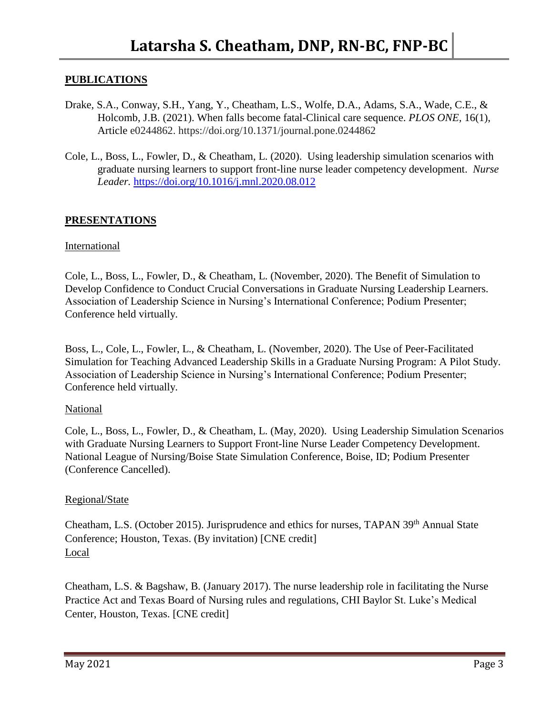## **PUBLICATIONS**

- Drake, S.A., Conway, S.H., Yang, Y., Cheatham, L.S., Wolfe, D.A., Adams, S.A., Wade, C.E., & Holcomb, J.B. (2021). When falls become fatal-Clinical care sequence. *PLOS ONE,* 16(1), Article e0244862. https://doi.org/10.1371/journal.pone.0244862
- Cole, L., Boss, L., Fowler, D., & Cheatham, L. (2020). Using leadership simulation scenarios with graduate nursing learners to support front-line nurse leader competency development. *Nurse Leader.* <https://doi.org/10.1016/j.mnl.2020.08.012>

#### **PRESENTATIONS**

#### International

Cole, L., Boss, L., Fowler, D., & Cheatham, L. (November, 2020). The Benefit of Simulation to Develop Confidence to Conduct Crucial Conversations in Graduate Nursing Leadership Learners. Association of Leadership Science in Nursing's International Conference; Podium Presenter; Conference held virtually.

Boss, L., Cole, L., Fowler, L., & Cheatham, L. (November, 2020). The Use of Peer-Facilitated Simulation for Teaching Advanced Leadership Skills in a Graduate Nursing Program: A Pilot Study. Association of Leadership Science in Nursing's International Conference; Podium Presenter; Conference held virtually.

#### National

Cole, L., Boss, L., Fowler, D., & Cheatham, L. (May, 2020). Using Leadership Simulation Scenarios with Graduate Nursing Learners to Support Front-line Nurse Leader Competency Development. National League of Nursing/Boise State Simulation Conference, Boise, ID; Podium Presenter (Conference Cancelled).

#### Regional/State

Cheatham, L.S. (October 2015). Jurisprudence and ethics for nurses, TAPAN 39<sup>th</sup> Annual State Conference; Houston, Texas. (By invitation) [CNE credit] Local

Cheatham, L.S. & Bagshaw, B. (January 2017). The nurse leadership role in facilitating the Nurse Practice Act and Texas Board of Nursing rules and regulations, CHI Baylor St. Luke's Medical Center, Houston, Texas. [CNE credit]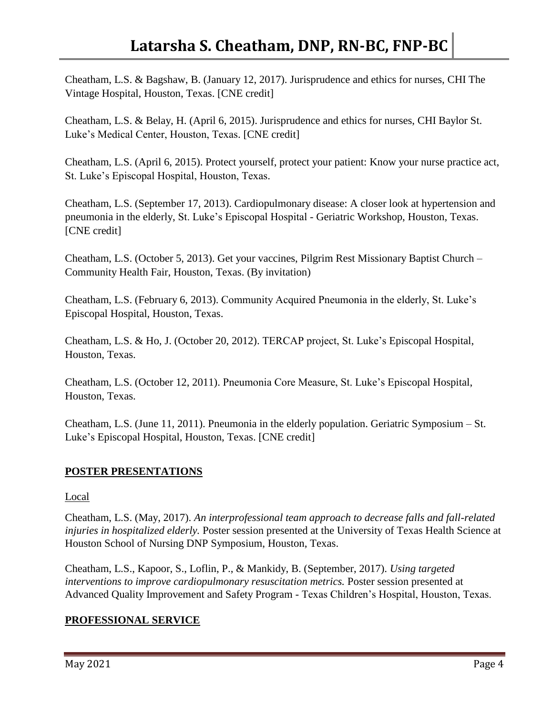Cheatham, L.S. & Bagshaw, B. (January 12, 2017). Jurisprudence and ethics for nurses, CHI The Vintage Hospital, Houston, Texas. [CNE credit]

Cheatham, L.S. & Belay, H. (April 6, 2015). Jurisprudence and ethics for nurses, CHI Baylor St. Luke's Medical Center, Houston, Texas. [CNE credit]

Cheatham, L.S. (April 6, 2015). Protect yourself, protect your patient: Know your nurse practice act, St. Luke's Episcopal Hospital, Houston, Texas.

Cheatham, L.S. (September 17, 2013). Cardiopulmonary disease: A closer look at hypertension and pneumonia in the elderly, St. Luke's Episcopal Hospital - Geriatric Workshop, Houston, Texas. [CNE credit]

Cheatham, L.S. (October 5, 2013). Get your vaccines, Pilgrim Rest Missionary Baptist Church – Community Health Fair, Houston, Texas. (By invitation)

Cheatham, L.S. (February 6, 2013). Community Acquired Pneumonia in the elderly, St. Luke's Episcopal Hospital, Houston, Texas.

Cheatham, L.S. & Ho, J. (October 20, 2012). TERCAP project, St. Luke's Episcopal Hospital, Houston, Texas.

Cheatham, L.S. (October 12, 2011). Pneumonia Core Measure, St. Luke's Episcopal Hospital, Houston, Texas.

Cheatham, L.S. (June 11, 2011). Pneumonia in the elderly population. Geriatric Symposium – St. Luke's Episcopal Hospital, Houston, Texas. [CNE credit]

### **POSTER PRESENTATIONS**

#### Local

Cheatham, L.S. (May, 2017). *An interprofessional team approach to decrease falls and fall-related injuries in hospitalized elderly.* Poster session presented at the University of Texas Health Science at Houston School of Nursing DNP Symposium, Houston, Texas.

Cheatham, L.S., Kapoor, S., Loflin, P., & Mankidy, B. (September, 2017). *Using targeted interventions to improve cardiopulmonary resuscitation metrics.* Poster session presented at Advanced Quality Improvement and Safety Program - Texas Children's Hospital, Houston, Texas.

## **PROFESSIONAL SERVICE**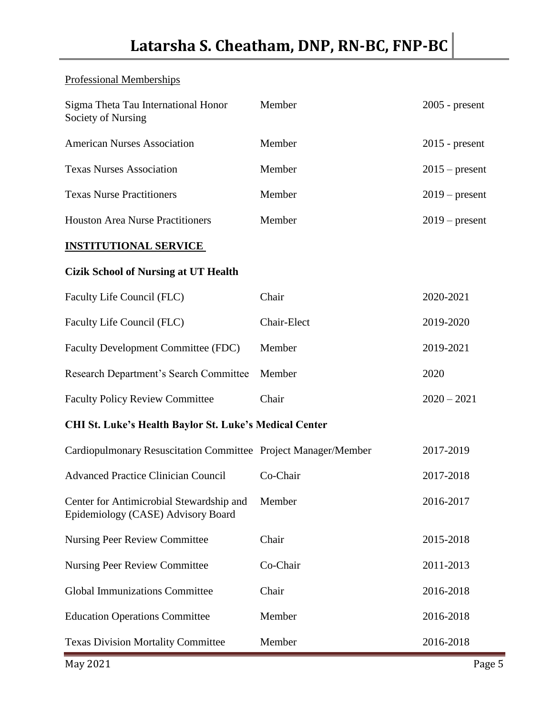# Professional Memberships

| Sigma Theta Tau International Honor<br>Society of Nursing                             | Member                                                        | $2005$ - present |  |  |
|---------------------------------------------------------------------------------------|---------------------------------------------------------------|------------------|--|--|
| <b>American Nurses Association</b>                                                    | Member                                                        | $2015$ - present |  |  |
| <b>Texas Nurses Association</b>                                                       | Member                                                        | $2015$ – present |  |  |
| <b>Texas Nurse Practitioners</b>                                                      | Member                                                        | $2019$ – present |  |  |
| <b>Houston Area Nurse Practitioners</b>                                               | Member                                                        | $2019$ – present |  |  |
| <b>INSTITUTIONAL SERVICE</b>                                                          |                                                               |                  |  |  |
| <b>Cizik School of Nursing at UT Health</b>                                           |                                                               |                  |  |  |
| Faculty Life Council (FLC)                                                            | Chair                                                         | 2020-2021        |  |  |
| Faculty Life Council (FLC)                                                            | Chair-Elect                                                   | 2019-2020        |  |  |
| Faculty Development Committee (FDC)                                                   | Member                                                        | 2019-2021        |  |  |
| Research Department's Search Committee                                                | Member                                                        | 2020             |  |  |
| <b>Faculty Policy Review Committee</b>                                                | Chair                                                         | $2020 - 2021$    |  |  |
|                                                                                       | <b>CHI St. Luke's Health Baylor St. Luke's Medical Center</b> |                  |  |  |
| Cardiopulmonary Resuscitation Committee Project Manager/Member                        |                                                               | 2017-2019        |  |  |
| <b>Advanced Practice Clinician Council</b>                                            | Co-Chair                                                      | 2017-2018        |  |  |
| Center for Antimicrobial Stewardship and Member<br>Epidemiology (CASE) Advisory Board |                                                               | 2016-2017        |  |  |
| <b>Nursing Peer Review Committee</b>                                                  | Chair                                                         | 2015-2018        |  |  |
| <b>Nursing Peer Review Committee</b>                                                  | Co-Chair                                                      | 2011-2013        |  |  |
| <b>Global Immunizations Committee</b>                                                 | Chair                                                         | 2016-2018        |  |  |
| <b>Education Operations Committee</b>                                                 | Member                                                        | 2016-2018        |  |  |
| <b>Texas Division Mortality Committee</b>                                             | Member                                                        | 2016-2018        |  |  |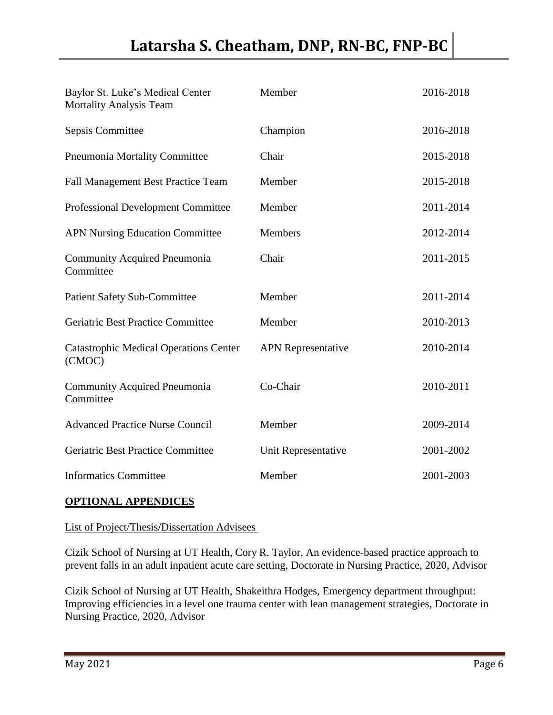| Baylor St. Luke's Medical Center<br><b>Mortality Analysis Team</b> | Member                    | 2016-2018 |
|--------------------------------------------------------------------|---------------------------|-----------|
| Sepsis Committee                                                   | Champion                  | 2016-2018 |
| Pneumonia Mortality Committee                                      | Chair                     | 2015-2018 |
| <b>Fall Management Best Practice Team</b>                          | Member                    | 2015-2018 |
| <b>Professional Development Committee</b>                          | Member                    | 2011-2014 |
| <b>APN Nursing Education Committee</b>                             | Members                   | 2012-2014 |
| <b>Community Acquired Pneumonia</b><br>Committee                   | Chair                     | 2011-2015 |
| <b>Patient Safety Sub-Committee</b>                                | Member                    | 2011-2014 |
| Geriatric Best Practice Committee                                  | Member                    | 2010-2013 |
| <b>Catastrophic Medical Operations Center</b><br>(CMOC)            | <b>APN</b> Representative | 2010-2014 |
| <b>Community Acquired Pneumonia</b><br>Committee                   | Co-Chair                  | 2010-2011 |
| <b>Advanced Practice Nurse Council</b>                             | Member                    | 2009-2014 |
| <b>Geriatric Best Practice Committee</b>                           | Unit Representative       | 2001-2002 |
| <b>Informatics Committee</b>                                       | Member                    | 2001-2003 |

## **OPTIONAL APPENDICES**

List of Project/Thesis/Dissertation Advisees

Cizik School of Nursing at UT Health, Cory R. Taylor, An evidence-based practice approach to prevent falls in an adult inpatient acute care setting, Doctorate in Nursing Practice, 2020, Advisor

Cizik School of Nursing at UT Health, Shakeithra Hodges, Emergency department throughput: Improving efficiencies in a level one trauma center with lean management strategies, Doctorate in Nursing Practice, 2020, Advisor